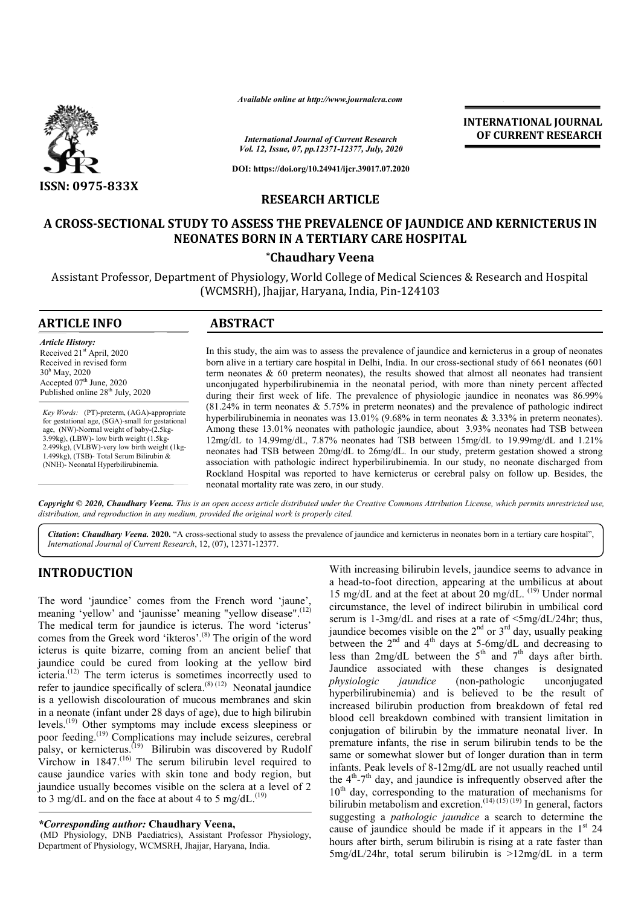

*Available online at http://www.journalcra.com*

*International Journal of Current Research Vol. 12, Issue, 07, pp.12371-12377, July, 2020*

**DOI: https://doi.org/10.24941/ijcr.39017.07.2020**

## **RESEARCH ARTICLE**

# **A CROSS-SECTIONAL STUDY TO ASSESS THE PREVALENCE OF JAUNDICE AND KERNICTERUS IN NEONATES BORN IN A TERTIARY CARE HOSPITAL**

## **\*Chaudhary Veena**

Assistant Professor, Department of Physiology, World College of Medical Sciences & Research and Hospital (WCMSRH), Jhajjar, Haryana, India, Pin-124103

| <b>ARTICLE INFO</b>                                                                                                                                                                                                                                                                                                           | <b>ABSTRACT</b>                                                                                                                                                                                                                                                                                                                                                                                                                                                                                                                                                                                                                                                                                                    |
|-------------------------------------------------------------------------------------------------------------------------------------------------------------------------------------------------------------------------------------------------------------------------------------------------------------------------------|--------------------------------------------------------------------------------------------------------------------------------------------------------------------------------------------------------------------------------------------------------------------------------------------------------------------------------------------------------------------------------------------------------------------------------------------------------------------------------------------------------------------------------------------------------------------------------------------------------------------------------------------------------------------------------------------------------------------|
| <b>Article History:</b><br>Received 21 <sup>st</sup> April, 2020<br>Received in revised form<br>$30h$ May, 2020<br>Accepted $07th$ June, 2020<br>Published online 28 <sup>th</sup> July, 2020                                                                                                                                 | In this study, the aim was to assess the prevalence of jaundice and kernicterus in a group of neonates<br>born alive in a tertiary care hospital in Delhi, India. In our cross-sectional study of 661 neonates (601)<br>term neonates $\& 60$ preterm neonates), the results showed that almost all neonates had transient<br>unconjugated hyperbilirubinemia in the neonatal period, with more than ninety percent affected<br>during their first week of life. The prevalence of physiologic jaundice in neonates was 86.99%                                                                                                                                                                                     |
| Key Words: (PT)-preterm, (AGA)-appropriate<br>for gestational age, (SGA)-small for gestational<br>age, (NW)-Normal weight of baby-(2.5kg-<br>$3.99kg$ , (LBW)- low birth weight $(1.5kg -$<br>2.499kg), (VLBW)-very low birth weight (1kg-<br>1.499kg), (TSB)- Total Serum Bilirubin &<br>(NNH)- Neonatal Hyperbilirubinemia. | $(81.24\%$ in term neonates & 5.75% in preterm neonates) and the prevalence of pathologic indirect<br>hyperbilirubinemia in neonates was $13.01\%$ (9.68% in term neonates & 3.33% in preterm neonates).<br>Among these 13.01% neonates with pathologic jaundice, about 3.93% neonates had TSB between<br>$12mg/dL$ to $14.99mg/dL$ , 7.87% neonates had TSB between $15mg/dL$ to $19.99mg/dL$ and $1.21%$<br>neonates had TSB between 20mg/dL to 26mg/dL. In our study, preterm gestation showed a strong<br>association with pathologic indirect hyperbilirubinemia. In our study, no neonate discharged from<br>Rockland Hospital was reported to have kernicterus or cerebral palsy on follow up. Besides, the |

Copyright © 2020, Chaudhary Veena. This is an open access article distributed under the Creative Commons Attribution License, which permits unrestricted use, *distribution, and reproduction in any medium, provided the original work is properly cited.*

neonatal mortality rate was zero, in our study.

*Citation***:** *Chaudhary Veena.* **2020.** "A cross-sectional study to assess the prevalence of jaundice and kernicterus in neonates born in a tertiary care hospital", *International Journal of Current Research*, 12, (07), 12371-12377.

# **INTRODUCTION**

The word 'jaundice' comes from the French word 'jaune', meaning 'yellow' and 'jaunisse' meaning "yellow disease".<sup>(12)</sup> The medical term for jaundice is icterus. The word 'icterus' comes from the Greek word 'ikteros'.<sup>(8)</sup> The origin of the word icterus is quite bizarre, coming from an ancient belief that jaundice could be cured from looking at the yellow bird icteria.<sup>(12)</sup> The term icterus is sometimes incorrectly used to refer to jaundice specifically of sclera.<sup>(8) (12)</sup> Neonatal jaundice is a yellowish discolouration of mucous membranes and skin in a neonate (infant under 28 days of age), due to high bilirubin levels.<sup>(19)</sup> Other symptoms may include excess sleepiness or poor feeding.<sup>(19)</sup> Complications may include seizures, cerebral palsy, or kernicterus.<sup>(19)</sup> Bilirubin was discovered by Rudolf  $V_{\text{two}}$ , or assumed to Dimuoni was discovered by Kudolf Virchow in 1847.<sup>(16)</sup> The serum bilirubin level required to cause jaundice varies with skin tone and body region, but jaundice usually becomes visible on the sclera at a level of 2 to 3 mg/dL and on the face at about 4 to 5 mg/dL.<sup>(19)</sup>

#### *\*Corresponding author:* **Chaudhary Veena,**

(MD Physiology, DNB Paediatrics), Assistant Professor Physiology, Department of Physiology, WCMSRH, Jhajjar, Haryana, India.

With increasing bilirubin levels, jaundice seems to advance in a head-to-foot direction, appearing at the umbilicus at about 15 mg/dL and at the feet at about 20 mg/dL. (19) Under normal circumstance, the level of indirect bilirubin in umbilical cord serum is 1-3mg/dL and rises at a rate of  $\langle 5mg/dL/24hr$ ; thus, jaundice becomes visible on the  $2<sup>nd</sup>$  or  $3<sup>rd</sup>$  day, usually peaking between the  $2<sup>nd</sup>$  and  $4<sup>th</sup>$  days at 5-6mg/dL and decreasing to less than  $2mg/dL$  between the  $5<sup>th</sup>$  and  $7<sup>th</sup>$  days after birth. Jaundice associated with these changes is designated *physiologic jaundice* (non-pathologic unconjugated hyperbilirubinemia) and is believed to be the result of increased bilirubin production from breakdown of fetal red blood cell breakdown combined with transient limitation in conjugation of bilirubin by the immature neonatal liver. In premature infants, the rise in serum bilirubin tends to be the same or somewhat slower but of longer duration than in term infants. Peak levels of 8-12mg/dL are not usually reached until the  $4<sup>th</sup> - 7<sup>th</sup>$  day, and jaundice is infrequently observed after the 10<sup>th</sup> day, corresponding to the maturation of mechanisms for bilirubin metabolism and excretion.<sup>(14) (15) (19)</sup> In general, factors suggesting a *pathologic jaundice* a search to determine the cause of jaundice should be made if it appears in the  $1<sup>st</sup> 24$ hours after birth, serum bilirubin is rising at a rate faster than 5mg/dL/24hr, total serum bilirubin is >12mg/dL in a term

**INTERNATIONAL JOURNAL OF CURRENT RESEARCH**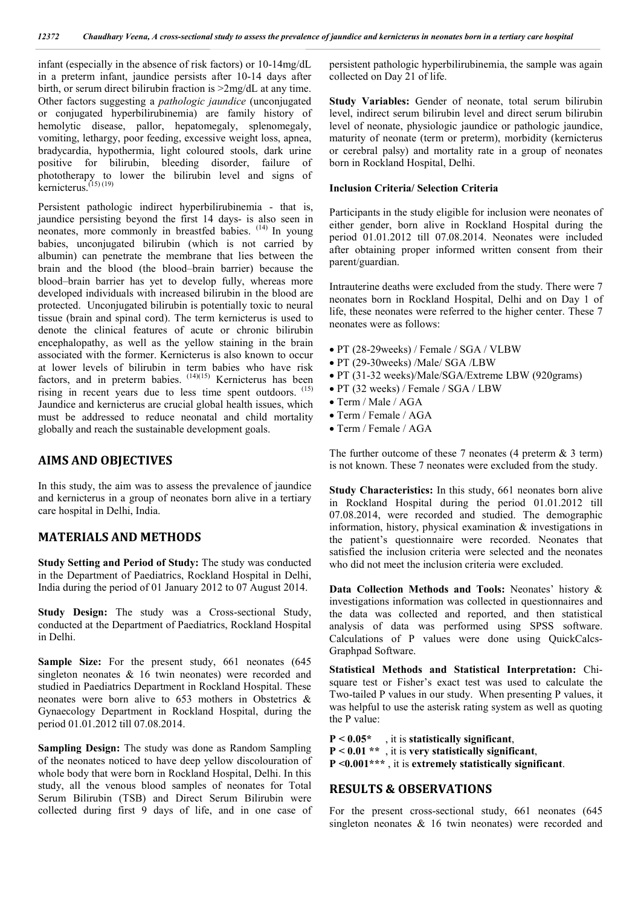infant (especially in the absence of risk factors) or 10-14mg/dL in a preterm infant, jaundice persists after 10-14 days after birth, or serum direct bilirubin fraction is >2mg/dL at any time. Other factors suggesting a *pathologic jaundice* (unconjugated or conjugated hyperbilirubinemia) are family history of hemolytic disease, pallor, hepatomegaly, splenomegaly, vomiting, lethargy, poor feeding, excessive weight loss, apnea, bradycardia, hypothermia, light coloured stools, dark urine positive for bilirubin, bleeding disorder, failure of phototherapy to lower the bilirubin level and signs of kernicterus. (15) (19)

Persistent pathologic indirect hyperbilirubinemia - that is, jaundice persisting beyond the first 14 days- is also seen in neonates, more commonly in breastfed babies. (14) In young babies, unconjugated bilirubin (which is not carried by albumin) can penetrate the membrane that lies between the brain and the blood (the blood–brain barrier) because the blood–brain barrier has yet to develop fully, whereas more developed individuals with increased bilirubin in the blood are protected. Unconjugated bilirubin is potentially toxic to neural tissue (brain and spinal cord). The term kernicterus is used to denote the clinical features of acute or chronic bilirubin encephalopathy, as well as the yellow staining in the brain associated with the former. Kernicterus is also known to occur at lower levels of bilirubin in term babies who have risk factors, and in preterm babies.  $(14)(15)$  Kernicterus has been rising in recent years due to less time spent outdoors.  $(15)$ Jaundice and kernicterus are crucial global health issues, which must be addressed to reduce neonatal and child mortality globally and reach the sustainable development goals.

### **AIMS AND OBJECTIVES**

In this study, the aim was to assess the prevalence of jaundice and kernicterus in a group of neonates born alive in a tertiary care hospital in Delhi, India.

## **MATERIALS AND METHODS**

**Study Setting and Period of Study:** The study was conducted in the Department of Paediatrics, Rockland Hospital in Delhi, India during the period of 01 January 2012 to 07 August 2014.

**Study Design:** The study was a Cross-sectional Study, conducted at the Department of Paediatrics, Rockland Hospital in Delhi.

**Sample Size:** For the present study, 661 neonates (645 singleton neonates & 16 twin neonates) were recorded and studied in Paediatrics Department in Rockland Hospital. These neonates were born alive to 653 mothers in Obstetrics & Gynaecology Department in Rockland Hospital, during the period 01.01.2012 till 07.08.2014.

**Sampling Design:** The study was done as Random Sampling of the neonates noticed to have deep yellow discolouration of whole body that were born in Rockland Hospital, Delhi. In this study, all the venous blood samples of neonates for Total Serum Bilirubin (TSB) and Direct Serum Bilirubin were collected during first 9 days of life, and in one case of persistent pathologic hyperbilirubinemia, the sample was again collected on Day 21 of life.

**Study Variables:** Gender of neonate, total serum bilirubin level, indirect serum bilirubin level and direct serum bilirubin level of neonate, physiologic jaundice or pathologic jaundice, maturity of neonate (term or preterm), morbidity (kernicterus or cerebral palsy) and mortality rate in a group of neonates born in Rockland Hospital, Delhi.

#### **Inclusion Criteria/ Selection Criteria**

Participants in the study eligible for inclusion were neonates of either gender, born alive in Rockland Hospital during the period 01.01.2012 till 07.08.2014. Neonates were included after obtaining proper informed written consent from their parent/guardian.

Intrauterine deaths were excluded from the study. There were 7 neonates born in Rockland Hospital, Delhi and on Day 1 of life, these neonates were referred to the higher center. These 7 neonates were as follows:

- PT (28-29weeks) / Female / SGA / VLBW
- PT (29-30weeks) /Male/ SGA /LBW
- PT (31-32 weeks)/Male/SGA/Extreme LBW (920grams)
- PT (32 weeks) / Female / SGA / LBW
- Term / Male / AGA
- Term / Female / AGA
- Term / Female / AGA

The further outcome of these  $7$  neonates (4 preterm  $\&$  3 term) is not known. These 7 neonates were excluded from the study.

**Study Characteristics:** In this study, 661 neonates born alive in Rockland Hospital during the period 01.01.2012 till 07.08.2014, were recorded and studied. The demographic information, history, physical examination & investigations in the patient's questionnaire were recorded. Neonates that satisfied the inclusion criteria were selected and the neonates who did not meet the inclusion criteria were excluded.

**Data Collection Methods and Tools:** Neonates' history & investigations information was collected in questionnaires and the data was collected and reported, and then statistical analysis of data was performed using SPSS software. Calculations of P values were done using QuickCalcs-Graphpad Software.

**Statistical Methods and Statistical Interpretation:** Chisquare test or Fisher's exact test was used to calculate the Two-tailed P values in our study. When presenting P values, it was helpful to use the asterisk rating system as well as quoting the P value:

**P < 0.05\*** , it is **statistically significant**, **P < 0.01 \*\*** , it is **very statistically significant**, **P <0.001\*\*\*** , it is **extremely statistically significant**.

## **RESULTS & OBSERVATIONS**

For the present cross-sectional study, 661 neonates (645 singleton neonates & 16 twin neonates) were recorded and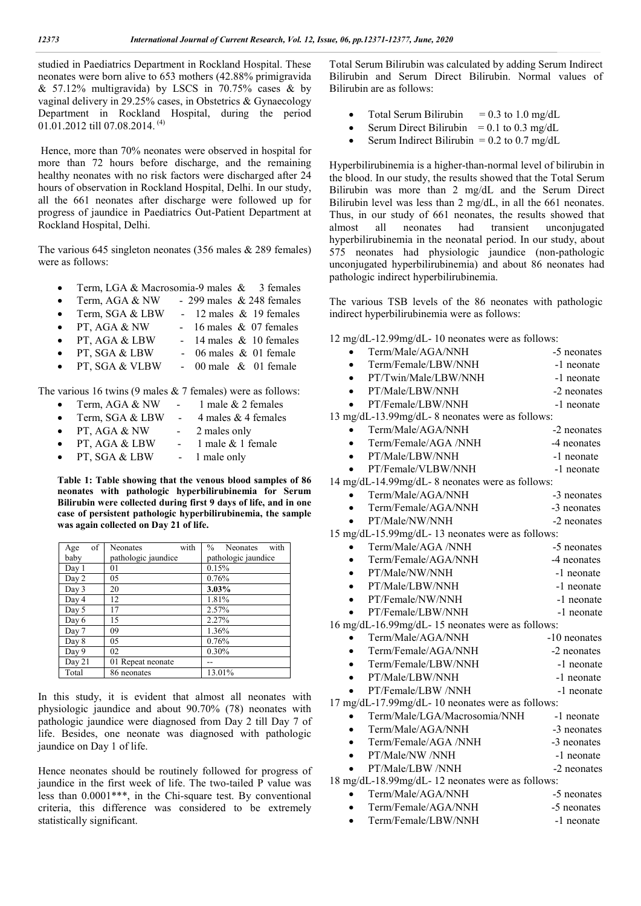studied in Paediatrics Department in Rockland Hospital. These neonates were born alive to 653 mothers (42.88% primigravida & 57.12% multigravida) by LSCS in  $70.75\%$  cases & by vaginal delivery in 29.25% cases, in Obstetrics & Gynaecology Department in Rockland Hospital, during the period 01.01.2012 till 07.08.2014. (4)

Hence, more than 70% neonates were observed in hospital for more than 72 hours before discharge, and the remaining healthy neonates with no risk factors were discharged after 24 hours of observation in Rockland Hospital, Delhi. In our study, all the 661 neonates after discharge were followed up for progress of jaundice in Paediatrics Out-Patient Department at Rockland Hospital, Delhi.

The various 645 singleton neonates (356 males & 289 females) were as follows:

- Term, LGA & Macrosomia-9 males & 3 females
- Term, AGA & NW 299 males & 248 females
- Term, SGA & LBW 12 males & 19 females
- PT, AGA  $&$  NW 16 males  $&$  07 females
- PT, AGA & LBW 14 males & 10 females
- PT, SGA & LBW 06 males & 01 female
- PT, SGA & VLBW 00 male & 01 female

The various 16 twins (9 males & 7 females) were as follows:

- Term, AGA & NW 1 male & 2 females
- Term, SGA & LBW 4 males & 4 females
- PT, AGA  $&$  NW 2 males only
- PT, AGA & LBW 1 male & 1 female
- PT, SGA & LBW 1 male only

**Table 1: Table showing that the venous blood samples of 86 neonates with pathologic hyperbilirubinemia for Serum Bilirubin were collected during first 9 days of life, and in one case of persistent pathologic hyperbilirubinemia, the sample was again collected on Day 21 of life.**

| of<br>Age                   | with<br><b>Neonates</b> | with<br>$\frac{0}{0}$<br><b>Neonates</b> |  |
|-----------------------------|-------------------------|------------------------------------------|--|
| baby<br>pathologic jaundice |                         | pathologic jaundice                      |  |
| Day 1                       | 01                      | 0.15%                                    |  |
| Day 2                       | 05                      | 0.76%                                    |  |
| Day 3                       | 20                      | 3.03%                                    |  |
| Day 4                       | 12                      | 1.81%                                    |  |
| Day 5                       | 17                      | 2.57%                                    |  |
| Day 6                       | 15                      | 2.27%                                    |  |
| Day 7                       | 09                      | 1.36%                                    |  |
| Day 8                       | 05                      | 0.76%                                    |  |
| Day 9                       | 02                      | 0.30%                                    |  |
| Day 21                      | 01 Repeat neonate       |                                          |  |
| Total                       | 86 neonates             | 13.01%                                   |  |

In this study, it is evident that almost all neonates with physiologic jaundice and about 90.70% (78) neonates with pathologic jaundice were diagnosed from Day 2 till Day 7 of life. Besides, one neonate was diagnosed with pathologic jaundice on Day 1 of life.

Hence neonates should be routinely followed for progress of jaundice in the first week of life. The two-tailed P value was less than 0.0001\*\*\*, in the Chi-square test. By conventional criteria, this difference was considered to be extremely statistically significant.

Total Serum Bilirubin was calculated by adding Serum Indirect Bilirubin and Serum Direct Bilirubin. Normal values of Bilirubin are as follows:

- Total Serum Bilirubin  $= 0.3$  to 1.0 mg/dL
- Serum Direct Bilirubin =  $0.1$  to  $0.3$  mg/dL
- Serum Indirect Bilirubin =  $0.2$  to  $0.7$  mg/dL

Hyperbilirubinemia is a higher-than-normal level of bilirubin in the blood. In our study, the results showed that the Total Serum Bilirubin was more than 2 mg/dL and the Serum Direct Bilirubin level was less than 2 mg/dL, in all the 661 neonates. Thus, in our study of 661 neonates, the results showed that almost all neonates had transient unconjugated hyperbilirubinemia in the neonatal period. In our study, about 575 neonates had physiologic jaundice (non-pathologic unconjugated hyperbilirubinemia) and about 86 neonates had pathologic indirect hyperbilirubinemia.

The various TSB levels of the 86 neonates with pathologic indirect hyperbilirubinemia were as follows:

12 mg/dL-12.99mg/dL- 10 neonates were as follows:

- Term/Male/AGA/NNH -5 neonates Term/Female/LBW/NNH -1 neonate
- PT/Twin/Male/LBW/NNH -1 neonate
- PT/Male/LBW/NNH -2 neonates
- PT/Female/LBW/NNH -1 neonate

13 mg/dL-13.99mg/dL- 8 neonates were as follows:

| Term/Male/AGA/NNH |  | -2 neonates                                                 |  |
|-------------------|--|-------------------------------------------------------------|--|
|                   |  | $1 / L \cap L$ $\wedge$ $\wedge$ $\wedge$ $\wedge$ $\wedge$ |  |

- Term/Female/AGA /NNH -4 neonates
- PT/Male/LBW/NNH -1 neonate • PT/Female/VLBW/NNH -1 neonate

14 mg/dL-14.99mg/dL- 8 neonates were as follows:

| $\frac{1}{2}$ and $\frac{1}{2}$ and $\frac{1}{2}$ are $\frac{1}{2}$ at the summary and $\frac{1}{2}$ are $\frac{1}{2}$ and $\frac{1}{2}$ are $\frac{1}{2}$ and $\frac{1}{2}$ are $\frac{1}{2}$ and $\frac{1}{2}$ are $\frac{1}{2}$ and $\frac{1}{2}$ are $\frac{1}{2}$ and $\frac{1}{2}$ |             |
|------------------------------------------------------------------------------------------------------------------------------------------------------------------------------------------------------------------------------------------------------------------------------------------|-------------|
| Term/Male/AGA/NNH                                                                                                                                                                                                                                                                        | -3 neonates |

Term/Female/AGA/NNH -3 neonates

| PT/Male/NW/NNH | -2 neonates |
|----------------|-------------|

15 mg/dL-15.99mg/dL- 13 neonates were as follows:

| Term/Male/AGA /NNH       | -5 neonates |
|--------------------------|-------------|
| Term/Female/AGA/NNH      | -4 neonates |
| $\bullet$ PT/Male/NW/NNH | -1 neonate  |
| PT/Male/LBW/NNH          | -1 neonate  |
| PT/Female/NW/NNH         | -1 neonate  |
| PT/Female/LBW/NNH        | -1 neonate  |
|                          |             |

16 mg/dL-16.99mg/dL- 15 neonates were as follows:

|           | Term/Male/AGA/NNH   | -10 neonates |
|-----------|---------------------|--------------|
|           | Term/Female/AGA/NNH | -2 neonates  |
| $\bullet$ | Term/Female/LBW/NNH | -1 neonate   |

- PT/Male/LBW/NNH -1 neonate
- PT/Female/LBW/NNH -1 neonate

17 mg/dL-17.99mg/dL- 10 neonates were as follows:

- Term/Male/LGA/Macrosomia/NNH -1 neonate
- Term/Male/AGA/NNH -3 neonates
- Term/Female/AGA /NNH -3 neonates
- PT/Male/NW /NNH -1 neonate

PT/Male/LBW /NNH -2 neonates

18 mg/dL-18.99mg/dL- 12 neonates were as follows:

- Term/Male/AGA/NNH -5 neonates
	- Term/Female/AGA/NNH -5 neonates
- Term/Female/LBW/NNH -1 neonate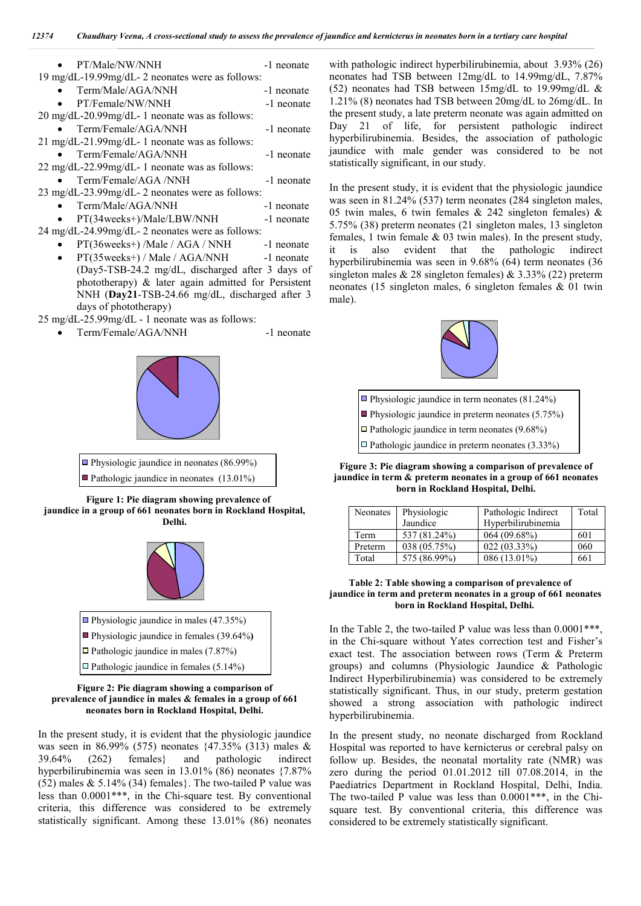| PT/Male/NW/NNH                                        | -1 neonate |
|-------------------------------------------------------|------------|
| 19 mg/dL-19.99mg/dL-2 neonates were as follows:       |            |
| Term/Male/AGA/NNH                                     | -1 neonate |
| PT/Female/NW/NNH                                      | -1 neonate |
| 20 mg/dL-20.99mg/dL-1 neonate was as follows:         |            |
| Term/Female/AGA/NNH                                   | -1 neonate |
| 21 mg/dL-21.99mg/dL-1 neonate was as follows:         |            |
| Term/Female/AGA/NNH                                   | -1 neonate |
| 22 mg/dL-22.99mg/dL-1 neonate was as follows:         |            |
| Term/Female/AGA /NNH                                  | -1 neonate |
| 23 mg/dL-23.99mg/dL-2 neonates were as follows:       |            |
| Term/Male/AGA/NNH                                     | -1 neonate |
| PT(34weeks+)/Male/LBW/NNH                             | -1 neonate |
| 24 mg/dL-24.99mg/dL-2 neonates were as follows:       |            |
| PT(36weeks+)/Male / AGA / NNH -1 neonate              |            |
| PT(35weeks+) / Male / AGA/NNH -1 neonate<br>$\bullet$ |            |
| (Day5-TSB-24.2 mg/dL, discharged after 3 days of      |            |
| phototherapy) & later again admitted for Persistent   |            |
| NNH (Day21-TSB-24.66 mg/dL, discharged after 3        |            |

days of phototherapy)

- 25 mg/dL-25.99mg/dL 1 neonate was as follows:
	- Term/Female/AGA/NNH -1 neonate





 **Figure 1: Pie diagram showing prevalence of jaundice in a group of 661 neonates born in Rockland Hospital, Delhi.**





#### **Figure 2: Pie diagram showing <sup>a</sup> comparison of prevalence of jaundice in males & females in a group of 661 neonates born in Rockland Hospital, Delhi.**

In the present study, it is evident that the physiologic jaundice was seen in 86.99% (575) neonates {47.35% (313) males & 39.64% (262) females} and pathologic indirect hyperbilirubinemia was seen in 13.01% (86) neonates {7.87% (52) males  $& 5.14\%$  (34) females}. The two-tailed P value was less than 0.0001\*\*\*, in the Chi-square test. By conventional criteria, this difference was considered to be extremely statistically significant. Among these 13.01% (86) neonates with pathologic indirect hyperbilirubinemia, about 3.93% (26) neonates had TSB between 12mg/dL to 14.99mg/dL, 7.87% (52) neonates had TSB between 15mg/dL to 19.99mg/dL & 1.21% (8) neonates had TSB between 20mg/dL to 26mg/dL. In the present study, a late preterm neonate was again admitted on Day 21 of life, for persistent pathologic indirect hyperbilirubinemia. Besides, the association of pathologic jaundice with male gender was considered to be not statistically significant, in our study.

In the present study, it is evident that the physiologic jaundice was seen in 81.24% (537) term neonates (284 singleton males, 05 twin males, 6 twin females & 242 singleton females) & 5.75% (38) preterm neonates (21 singleton males, 13 singleton females, 1 twin female & 03 twin males). In the present study, it is also evident that the pathologic indirect hyperbilirubinemia was seen in 9.68% (64) term neonates (36 singleton males & 28 singleton females) & 3.33% (22) preterm neonates (15 singleton males, 6 singleton females & 01 twin male).





 $\Box$  Pathologic jaundice in preterm neonates (3.33%)

 **Figure 3: Pie diagram showing <sup>a</sup> comparison of prevalence of jaundice in term & preterm neonates in a group of 661 neonates born in Rockland Hospital, Delhi.**

| Neonates | Physiologic  | Pathologic Indirect | Total |
|----------|--------------|---------------------|-------|
|          | Jaundice     | Hyperbilirubinemia  |       |
| Term     | 537 (81.24%) | 064(09.68%)         | 601   |
| Preterm  | 038 (05.75%) | 022(03.33%)         | 060   |
| Total    | 575 (86.99%) | 086 (13.01%)        | 661   |

#### **Table 2: Table showing a comparison of prevalence of jaundice in term and preterm neonates in a group of 661 neonates born in Rockland Hospital, Delhi.**

In the Table 2, the two-tailed P value was less than 0.0001\*\*\*, in the Chi-square without Yates correction test and Fisher's exact test. The association between rows (Term & Preterm groups) and columns (Physiologic Jaundice & Pathologic Indirect Hyperbilirubinemia) was considered to be extremely statistically significant. Thus, in our study, preterm gestation showed a strong association with pathologic indirect hyperbilirubinemia.

In the present study, no neonate discharged from Rockland Hospital was reported to have kernicterus or cerebral palsy on follow up. Besides, the neonatal mortality rate (NMR) was zero during the period 01.01.2012 till 07.08.2014, in the Paediatrics Department in Rockland Hospital, Delhi, India. The two-tailed P value was less than 0.0001\*\*\*, in the Chisquare test. By conventional criteria, this difference was considered to be extremely statistically significant.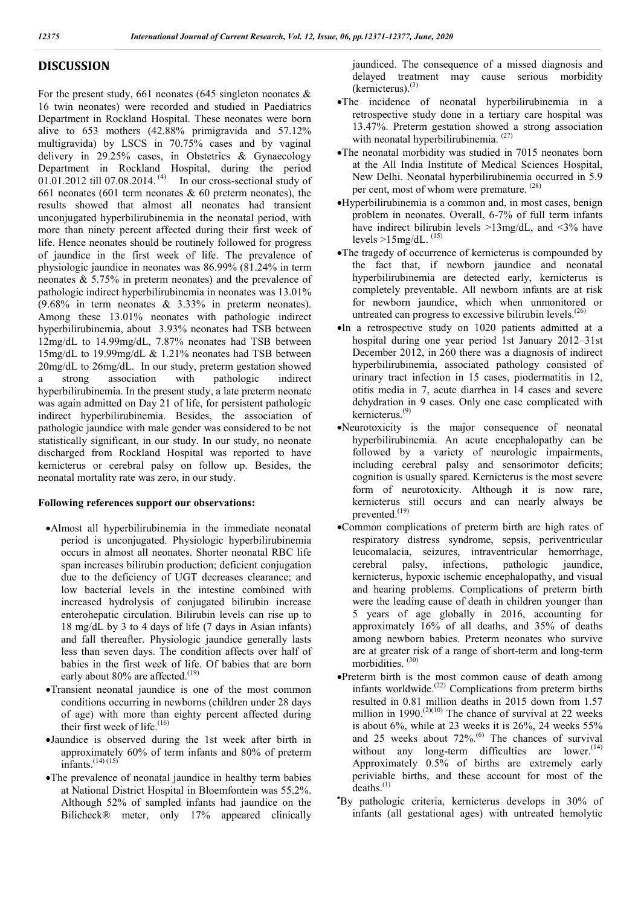# **DISCUSSION**

For the present study, 661 neonates (645 singleton neonates  $\&$ 16 twin neonates) were recorded and studied in Paediatrics Department in Rockland Hospital. These neonates were born alive to 653 mothers (42.88% primigravida and 57.12% multigravida) by LSCS in 70.75% cases and by vaginal delivery in 29.25% cases, in Obstetrics & Gynaecology Department in Rockland Hospital, during the period 01.01.2012 till 07.08.2014.  $(4)$  In our cross-sectional study of 661 neonates (601 term neonates  $\&$  60 preterm neonates), the results showed that almost all neonates had transient unconjugated hyperbilirubinemia in the neonatal period, with more than ninety percent affected during their first week of life. Hence neonates should be routinely followed for progress of jaundice in the first week of life. The prevalence of physiologic jaundice in neonates was 86.99% (81.24% in term neonates & 5.75% in preterm neonates) and the prevalence of pathologic indirect hyperbilirubinemia in neonates was 13.01% (9.68% in term neonates & 3.33% in preterm neonates). Among these 13.01% neonates with pathologic indirect hyperbilirubinemia, about 3.93% neonates had TSB between 12mg/dL to 14.99mg/dL, 7.87% neonates had TSB between 15mg/dL to 19.99mg/dL & 1.21% neonates had TSB between 20mg/dL to 26mg/dL. In our study, preterm gestation showed a strong association with pathologic indirect hyperbilirubinemia. In the present study, a late preterm neonate was again admitted on Day 21 of life, for persistent pathologic indirect hyperbilirubinemia. Besides, the association of pathologic jaundice with male gender was considered to be not statistically significant, in our study. In our study, no neonate discharged from Rockland Hospital was reported to have kernicterus or cerebral palsy on follow up. Besides, the neonatal mortality rate was zero, in our study.

## **Following references support our observations:**

- Almost all hyperbilirubinemia in the immediate neonatal period is unconjugated. Physiologic hyperbilirubinemia occurs in almost all neonates. Shorter neonatal RBC life span increases bilirubin production; deficient conjugation due to the deficiency of UGT decreases clearance; and low bacterial levels in the intestine combined with increased hydrolysis of conjugated bilirubin increase enterohepatic circulation. Bilirubin levels can rise up to 18 mg/dL by 3 to 4 days of life (7 days in Asian infants) and fall thereafter. Physiologic jaundice generally lasts less than seven days. The condition affects over half of babies in the first week of life. Of babies that are born early about 80% are affected.<sup>(19)</sup>
- Transient neonatal jaundice is one of the most common conditions occurring in newborns (children under 28 days of age) with more than eighty percent affected during their first week of life.<sup>(16)</sup>
- Jaundice is observed during the 1st week after birth in approximately 60% of term infants and 80% of preterm infants.  $(14)(15)$
- The prevalence of neonatal jaundice in healthy term babies at National District Hospital in Bloemfontein was 55.2%. Although 52% of sampled infants had jaundice on the Bilicheck® meter, only 17% appeared clinically

jaundiced. The consequence of a missed diagnosis and delayed treatment may cause serious morbidity  $(k$ ernicterus).<sup>(3)</sup>

- The incidence of neonatal hyperbilirubinemia in a retrospective study done in a tertiary care hospital was 13.47%. Preterm gestation showed a strong association with neonatal hyperbilirubinemia. <sup>(27)</sup>
- The neonatal morbidity was studied in 7015 neonates born at the All India Institute of Medical Sciences Hospital, New Delhi. Neonatal hyperbilirubinemia occurred in 5.9 per cent, most of whom were premature. <sup>(28)</sup>
- Hyperbilirubinemia is a common and, in most cases, benign problem in neonates. Overall, 6-7% of full term infants have indirect bilirubin levels >13mg/dL, and <3% have levels  $>15$ mg/dL.  $^{(15)}$
- The tragedy of occurrence of kernicterus is compounded by the fact that, if newborn jaundice and neonatal hyperbilirubinemia are detected early, kernicterus is completely preventable. All newborn infants are at risk for newborn jaundice, which when unmonitored or untreated can progress to excessive bilirubin levels.<sup> $(26)$ </sup>
- In a retrospective study on 1020 patients admitted at a hospital during one year period 1st January 2012–31st December 2012, in 260 there was a diagnosis of indirect hyperbilirubinemia, associated pathology consisted of urinary tract infection in 15 cases, piodermatitis in 12, otitis media in 7, acute diarrhea in 14 cases and severe dehydration in 9 cases. Only one case complicated with kernicterus.(9)
- Neurotoxicity is the major consequence of neonatal hyperbilirubinemia. An acute encephalopathy can be followed by a variety of neurologic impairments, including cerebral palsy and sensorimotor deficits; cognition is usually spared. Kernicterus is the most severe form of neurotoxicity. Although it is now rare, kernicterus still occurs and can nearly always be prevented.<sup>(19)</sup>
- Common complications of preterm birth are high rates of respiratory distress syndrome, sepsis, periventricular leucomalacia, seizures, intraventricular hemorrhage, cerebral palsy, infections, pathologic jaundice, kernicterus, hypoxic ischemic encephalopathy, and visual and hearing problems. Complications of preterm birth were the leading cause of death in children younger than 5 years of age globally in 2016, accounting for approximately 16% of all deaths, and 35% of deaths among newborn babies. Preterm neonates who survive are at greater risk of a range of short-term and long-term morbidities. (30)
- Preterm birth is the most common cause of death among infants worldwide.(22) Complications from preterm births resulted in 0.81 million deaths in 2015 down from 1.57 million in 1990.<sup> $(2)(10)$ </sup> The chance of survival at 22 weeks is about 6%, while at 23 weeks it is 26%, 24 weeks 55% and 25 weeks about 72%.<sup>(6)</sup> The chances of survival without any long-term difficulties are lower. $(14)$ Approximately 0.5% of births are extremely early periviable births, and these account for most of the  $deaths.<sup>(1)</sup>$
- By pathologic criteria, kernicterus develops in 30% of infants (all gestational ages) with untreated hemolytic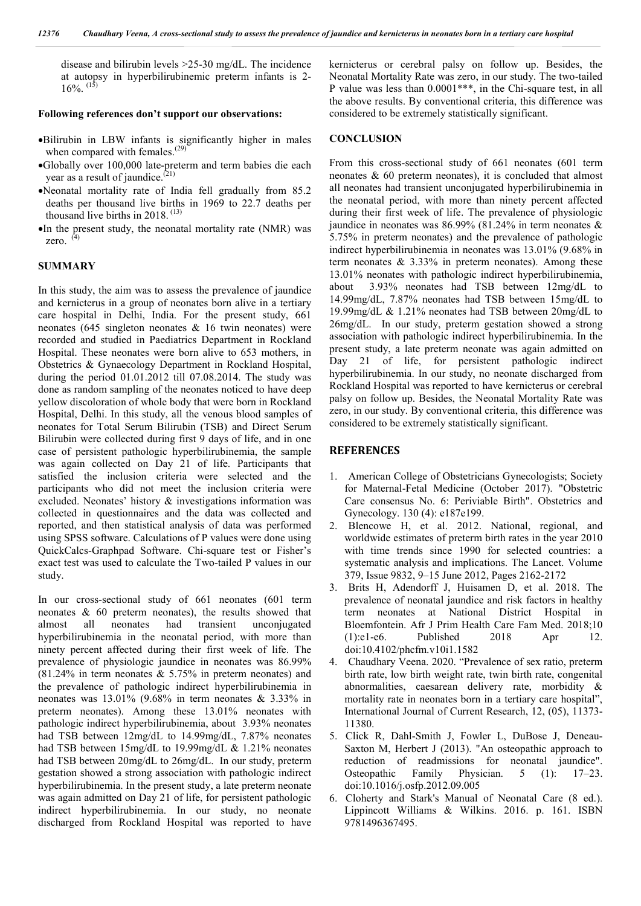disease and bilirubin levels >25-30 mg/dL. The incidence at autopsy in hyperbilirubinemic preterm infants is 2-  $16\%$ .  $^{(15)}$ 

#### **Following references don't support our observations:**

- Bilirubin in LBW infants is significantly higher in males when compared with females.<sup>(29)</sup>
- Globally over 100,000 late-preterm and term babies die each year as a result of jaundice.<sup>(21)</sup>
- Neonatal mortality rate of India fell gradually from 85.2 deaths per thousand live births in 1969 to 22.7 deaths per thousand live births in 2018. (13)
- In the present study, the neonatal mortality rate (NMR) was zero. (4)

#### **SUMMARY**

In this study, the aim was to assess the prevalence of jaundice and kernicterus in a group of neonates born alive in a tertiary care hospital in Delhi, India. For the present study, 661 neonates (645 singleton neonates & 16 twin neonates) were recorded and studied in Paediatrics Department in Rockland Hospital. These neonates were born alive to 653 mothers, in Obstetrics & Gynaecology Department in Rockland Hospital, during the period 01.01.2012 till 07.08.2014. The study was done as random sampling of the neonates noticed to have deep yellow discoloration of whole body that were born in Rockland Hospital, Delhi. In this study, all the venous blood samples of neonates for Total Serum Bilirubin (TSB) and Direct Serum Bilirubin were collected during first 9 days of life, and in one case of persistent pathologic hyperbilirubinemia, the sample was again collected on Day 21 of life. Participants that satisfied the inclusion criteria were selected and the participants who did not meet the inclusion criteria were excluded. Neonates' history & investigations information was collected in questionnaires and the data was collected and reported, and then statistical analysis of data was performed using SPSS software. Calculations of P values were done using QuickCalcs-Graphpad Software. Chi-square test or Fisher's exact test was used to calculate the Two-tailed P values in our study.

In our cross-sectional study of 661 neonates (601 term neonates & 60 preterm neonates), the results showed that almost all neonates had transient unconjugated hyperbilirubinemia in the neonatal period, with more than ninety percent affected during their first week of life. The prevalence of physiologic jaundice in neonates was 86.99% (81.24% in term neonates & 5.75% in preterm neonates) and the prevalence of pathologic indirect hyperbilirubinemia in neonates was 13.01% (9.68% in term neonates & 3.33% in preterm neonates). Among these 13.01% neonates with pathologic indirect hyperbilirubinemia, about 3.93% neonates had TSB between 12mg/dL to 14.99mg/dL, 7.87% neonates had TSB between 15mg/dL to 19.99mg/dL & 1.21% neonates had TSB between 20mg/dL to 26mg/dL. In our study, preterm gestation showed a strong association with pathologic indirect hyperbilirubinemia. In the present study, a late preterm neonate was again admitted on Day 21 of life, for persistent pathologic indirect hyperbilirubinemia. In our study, no neonate discharged from Rockland Hospital was reported to have

kernicterus or cerebral palsy on follow up. Besides, the Neonatal Mortality Rate was zero, in our study. The two-tailed P value was less than 0.0001\*\*\*, in the Chi-square test, in all the above results. By conventional criteria, this difference was considered to be extremely statistically significant.

#### **CONCLUSION**

From this cross-sectional study of 661 neonates (601 term neonates & 60 preterm neonates), it is concluded that almost all neonates had transient unconjugated hyperbilirubinemia in the neonatal period, with more than ninety percent affected during their first week of life. The prevalence of physiologic jaundice in neonates was 86.99% (81.24% in term neonates & 5.75% in preterm neonates) and the prevalence of pathologic indirect hyperbilirubinemia in neonates was 13.01% (9.68% in term neonates  $\&$  3.33% in preterm neonates). Among these 13.01% neonates with pathologic indirect hyperbilirubinemia, about 3.93% neonates had TSB between 12mg/dL to 14.99mg/dL, 7.87% neonates had TSB between 15mg/dL to 19.99mg/dL & 1.21% neonates had TSB between 20mg/dL to 26mg/dL. In our study, preterm gestation showed a strong association with pathologic indirect hyperbilirubinemia. In the present study, a late preterm neonate was again admitted on Day 21 of life, for persistent pathologic indirect hyperbilirubinemia. In our study, no neonate discharged from Rockland Hospital was reported to have kernicterus or cerebral palsy on follow up. Besides, the Neonatal Mortality Rate was zero, in our study. By conventional criteria, this difference was considered to be extremely statistically significant.

### **REFERENCES**

- 1.American College of Obstetricians Gynecologists; Society for Maternal-Fetal Medicine (October 2017). "Obstetric Care consensus No. 6: Periviable Birth". Obstetrics and Gynecology. 130 (4): e187e199.
- 2. Blencowe H, et al. 2012. National, regional, and worldwide estimates of preterm birth rates in the year 2010 with time trends since 1990 for selected countries: a systematic analysis and implications. The Lancet. Volume 379, Issue 9832, 9–15 June 2012, Pages 2162-2172
- 3. Brits H, Adendorff J, Huisamen D, et al. 2018. The prevalence of neonatal jaundice and risk factors in healthy term neonates at National District Hospital in Bloemfontein. Afr J Prim Health Care Fam Med. 2018;10 (1):e1-e6. Published 2018 Apr 12. doi:10.4102/phcfm.v10i1.1582
- 4. Chaudhary Veena. 2020. "Prevalence of sex ratio, preterm birth rate, low birth weight rate, twin birth rate, congenital abnormalities, caesarean delivery rate, morbidity & mortality rate in neonates born in a tertiary care hospital", International Journal of Current Research, 12, (05), 11373- 11380.
- 5. Click R, Dahl-Smith J, Fowler L, DuBose J, Deneau-Saxton M, Herbert J (2013). "An osteopathic approach to reduction of readmissions for neonatal jaundice".<br>Osteopathic Family Physician. 5 (1): 17–23. Osteopathic Family Physician. 5 (1): 17–23. doi:10.1016/j.osfp.2012.09.005
- 6. Cloherty and Stark's Manual of Neonatal Care (8 ed.). Lippincott Williams & Wilkins. 2016. p. 161. ISBN 9781496367495.